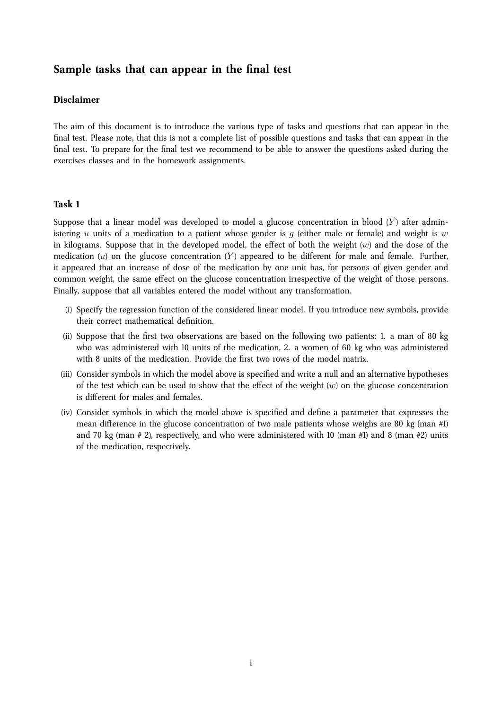# **Sample tasks that can appear in the final test**

# **Disclaimer**

The aim of this document is to introduce the various type of tasks and questions that can appear in the final test. Please note, that this is not a complete list of possible questions and tasks that can appear in the final test. To prepare for the final test we recommend to be able to answer the questions asked during the exercises classes and in the homework assignments.

#### **Task 1**

Suppose that a linear model was developed to model a glucose concentration in blood  $(Y)$  after administering u units of a medication to a patient whose gender is q (either male or female) and weight is w in kilograms. Suppose that in the developed model, the effect of both the weight  $(w)$  and the dose of the medication  $(u)$  on the glucose concentration  $(Y)$  appeared to be different for male and female. Further, it appeared that an increase of dose of the medication by one unit has, for persons of given gender and common weight, the same effect on the glucose concentration irrespective of the weight of those persons. Finally, suppose that all variables entered the model without any transformation.

- (i) Specify the regression function of the considered linear model. If you introduce new symbols, provide their correct mathematical definition.
- (ii) Suppose that the first two observations are based on the following two patients: 1. a man of 80 kg who was administered with 10 units of the medication, 2. a women of 60 kg who was administered with 8 units of the medication. Provide the first two rows of the model matrix.
- (iii) Consider symbols in which the model above is specified and write a null and an alternative hypotheses of the test which can be used to show that the effect of the weight  $(w)$  on the glucose concentration is different for males and females.
- (iv) Consider symbols in which the model above is specified and define a parameter that expresses the mean difference in the glucose concentration of two male patients whose weighs are 80 kg (man  $#1$ ) and 70 kg (man  $# 2$ ), respectively, and who were administered with 10 (man  $#1$ ) and 8 (man  $#2$ ) units of the medication, respectively.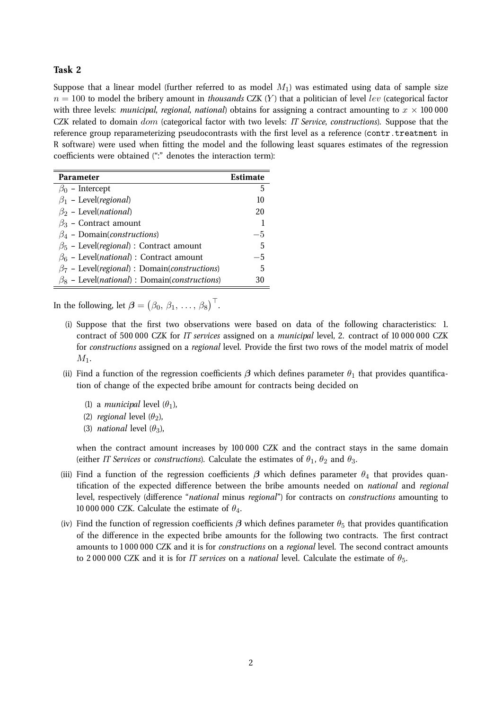Suppose that a linear model (further referred to as model  $M_1$ ) was estimated using data of sample size  $n = 100$  to model the bribery amount in *thousands* CZK (Y) that a politician of level lev (categorical factor with three levels: *municipal, regional, national*) obtains for assigning a contract amounting to  $x \times 100\,000$ CZK related to domain dom (categorical factor with two levels: *IT Service*, *constructions*). Suppose that the reference group reparameterizing pseudocontrasts with the first level as a reference (contr.treatment in R software) were used when fitting the model and the following least squares estimates of the regression coefficients were obtained (":" denotes the interaction term):

| Parameter                                                             | Estimate |
|-----------------------------------------------------------------------|----------|
| $\beta_0$ – Intercept                                                 | 5        |
| $\beta_1$ – Level( <i>regional</i> )                                  | 10       |
| $\beta_2$ – Level( <i>national</i> )                                  | 20       |
| $\beta_3$ – Contract amount                                           |          |
| $\beta_4$ – Domain( <i>constructions</i> )                            | $-5$     |
| $\beta_5$ – Level( <i>regional</i> ) : Contract amount                | 5        |
| $\beta_6$ – Level( <i>national</i> ) : Contract amount                | -5       |
| $\beta_7$ – Level( <i>regional</i> ) : Domain( <i>constructions</i> ) | 5        |
| $\beta_8$ – Level( <i>national</i> ) : Domain( <i>constructions</i> ) | 30       |

In the following, let  $\boldsymbol{\beta}=\begin{pmatrix} \beta_0, \, \beta_1, \, \ldots, \, \beta_8 \end{pmatrix}^\top$ .

- (i) Suppose that the first two observations were based on data of the following characteristics: 1. contract of 500 000 CZK for *IT services* assigned on a *municipal* level, 2. contract of 10 000 000 CZK for *constructions* assigned on a *regional* level. Provide the first two rows of the model matrix of model  $M_1$ .
- (ii) Find a function of the regression coefficients  $\beta$  which defines parameter  $\theta_1$  that provides quantification of change of the expected bribe amount for contracts being decided on
	- (1) a *municipal* level  $(\theta_1)$ ,
	- (2) *regional* level  $(\theta_2)$ ,
	- (3) *national* level  $(\theta_3)$ ,

when the contract amount increases by 100 000 CZK and the contract stays in the same domain (either *IT Services* or *constructions*). Calculate the estimates of  $\theta_1$ ,  $\theta_2$  and  $\theta_3$ .

- (iii) Find a function of the regression coefficients  $\beta$  which defines parameter  $\theta_4$  that provides quantification of the expected difference between the bribe amounts needed on *national* and *regional* level, respectively (difference "*national* minus *regional*") for contracts on *constructions* amounting to 10 000 000 CZK. Calculate the estimate of  $\theta_4$ .
- (iv) Find the function of regression coefficients  $\beta$  which defines parameter  $\theta_5$  that provides quantification of the difference in the expected bribe amounts for the following two contracts. The first contract amounts to 1 000 000 CZK and it is for *constructions* on a *regional* level. The second contract amounts to 2 000 000 CZK and it is for *IT services* on a *national* level. Calculate the estimate of θ5.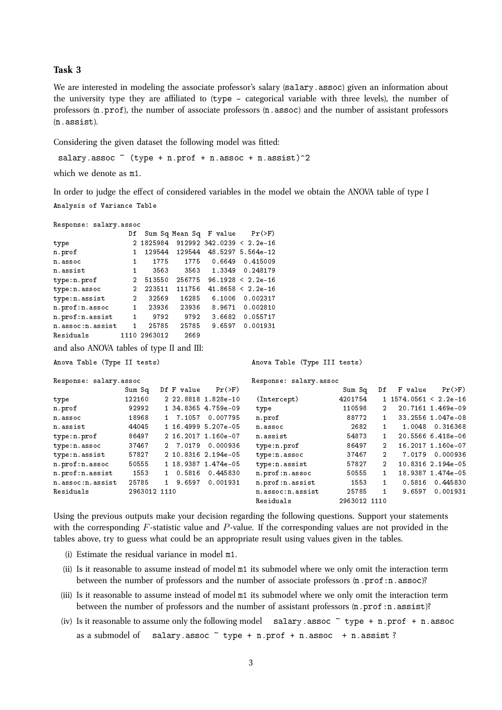We are interested in modeling the associate professor's salary (salary.assoc) given an information about the university type they are affiliated to  $(type - categorical)$  variable with three levels), the number of professors (n.prof), the number of associate professors (n.assoc) and the number of assistant professors (n.assist).

Considering the given dataset the following model was fitted:

salary.assoc  $\tilde{ }$  (type + n.prof + n.assoc + n.assist) $\hat{ }$ 2

which we denote as m1.

In order to judge the effect of considered variables in the model we obtain the ANOVA table of type I Analysis of Variance Table

| Response: salary.assoc                    |                                                             |                      |            |                        |                             |                        |              |                |                            |                   |
|-------------------------------------------|-------------------------------------------------------------|----------------------|------------|------------------------|-----------------------------|------------------------|--------------|----------------|----------------------------|-------------------|
|                                           | Df                                                          |                      |            | Sum Sq Mean Sq F value | $Pr(>\)$                    |                        |              |                |                            |                   |
| type                                      |                                                             | 2 1825984            |            |                        | $912992$ 342.0239 < 2.2e-16 |                        |              |                |                            |                   |
| n.prof                                    | 1                                                           | 129544               | 129544     |                        | 48.5297 5.564e-12           |                        |              |                |                            |                   |
| n.assoc                                   | $\mathbf{1}$                                                | 1775                 | 1775       | 0.6649                 | 0.415009                    |                        |              |                |                            |                   |
| n.assist                                  | $\mathbf{1}$                                                | 3563                 | 3563       | 1.3349                 | 0.248179                    |                        |              |                |                            |                   |
| type:n.prof                               | $\overline{2}$                                              | 513550               | 256775     |                        | $96.1928 < 2.2e-16$         |                        |              |                |                            |                   |
| type:n.assoc                              | 2                                                           | 223511               | 111756     |                        | $41.8658 < 2.2e-16$         |                        |              |                |                            |                   |
| type:n.assist                             | $\overline{2}$                                              | 32569                | 16285      | 6.1006                 | 0.002317                    |                        |              |                |                            |                   |
| n.prof:n.assoc                            | $\mathbf{1}$                                                | 23936                | 23936      | 8.9671                 | 0.002810                    |                        |              |                |                            |                   |
| n.prof:n.assist                           | $\mathbf{1}$                                                | 9792                 | 9792       | 3.6682                 | 0.055717                    |                        |              |                |                            |                   |
| n.assoc:n.assist                          | $\mathbf{1}$                                                | 25785                | 25785      | 9.6597                 | 0.001931                    |                        |              |                |                            |                   |
| Residuals                                 |                                                             | 1110 2963012         | 2669       |                        |                             |                        |              |                |                            |                   |
| and also ANOVA tables of type II and III: |                                                             |                      |            |                        |                             |                        |              |                |                            |                   |
|                                           | Anova Table (Type II tests)<br>Anova Table (Type III tests) |                      |            |                        |                             |                        |              |                |                            |                   |
| Response: salary.assoc                    |                                                             |                      |            |                        |                             | Response: salary.assoc |              |                |                            |                   |
|                                           | $Sum$ $Sq$                                                  |                      | Df F value | $Pr(>\)$               |                             |                        | Sum Sq       | Df             | F value                    | $Pr(>\)$          |
| type                                      | 122160                                                      |                      |            | 2 22.8818 1.828e-10    | (Intercept)                 |                        | 4201754      |                | $1\,1574.0561\leq 2.2e-16$ |                   |
| n.prof                                    |                                                             | 92992                |            | 1 34.8365 4.759e-09    | type                        |                        | 110598       | 2              |                            | 20.7161 1.469e-09 |
| n.assoc                                   |                                                             | 18968<br>1           |            | 7.1057 0.007795        | n.prof                      |                        | 88772        | $\mathbf{1}$   |                            | 33.2556 1.047e-08 |
| n.assist                                  |                                                             | 44045                |            | 1 16.4999 5.207e-05    | n.assoc                     |                        | 2682         | $\mathbf{1}$   | 1.0048                     | 0.316368          |
| type:n.prof                               |                                                             | 86497                |            | 2 16.2017 1.160e-07    | n.assist                    |                        | 54873        | $\mathbf{1}$   |                            | 20.5566 6.418e-06 |
| type:n.assoc                              |                                                             | 37467                |            | 2 7.0179 0.000936      | type:n.prof                 |                        | 86497        | $\overline{2}$ |                            | 16.2017 1.160e-07 |
| type:n.assist                             |                                                             | 57827                |            | 2 10.8316 2.194e-05    | type:n.assoc                |                        | 37467        | $\overline{2}$ | 7.0179                     | 0.000936          |
| n.prof:n.assoc                            |                                                             | 50555                |            | 1 18.9387 1.474e-05    |                             | type:n.assist          | 57827        | $\overline{2}$ |                            | 10.8316 2.194e-05 |
| n.prof:n.assist                           |                                                             | 1553<br>$\mathbf{1}$ | 0.5816     | 0.445830               |                             | n.prof:n.assoc         | 50555        | 1              |                            | 18.9387 1.474e-05 |
| n.assoc:n.assist                          |                                                             | 25785<br>1           | 9.6597     | 0.001931               |                             | n.prof:n.assist        | 1553         | $\mathbf{1}$   | 0.5816                     | 0.445830          |
| Residuals                                 |                                                             | 2963012 1110         |            |                        |                             | n.assoc:n.assist       | 25785        | $\mathbf{1}$   | 9.6597                     | 0.001931          |
|                                           |                                                             |                      |            |                        | Residuals                   |                        | 2963012 1110 |                |                            |                   |

Using the previous outputs make your decision regarding the following questions. Support your statements with the corresponding  $F$ -statistic value and  $P$ -value. If the corresponding values are not provided in the tables above, try to guess what could be an appropriate result using values given in the tables.

- (i) Estimate the residual variance in model m1.
- (ii) Is it reasonable to assume instead of model m1 its submodel where we only omit the interaction term between the number of professors and the number of associate professors  $(n.prot:n.assoc)?$
- (iii) Is it reasonable to assume instead of model m1 its submodel where we only omit the interaction term between the number of professors and the number of assistant professors  $(n.prof:n.aslist)?$
- (iv) Is it reasonable to assume only the following model salary.assoc  $\tilde{}$  type + n.prof + n.assoc as a submodel of salary.assoc  $\tilde{ }$  type + n.prof + n.assoc + n.assist?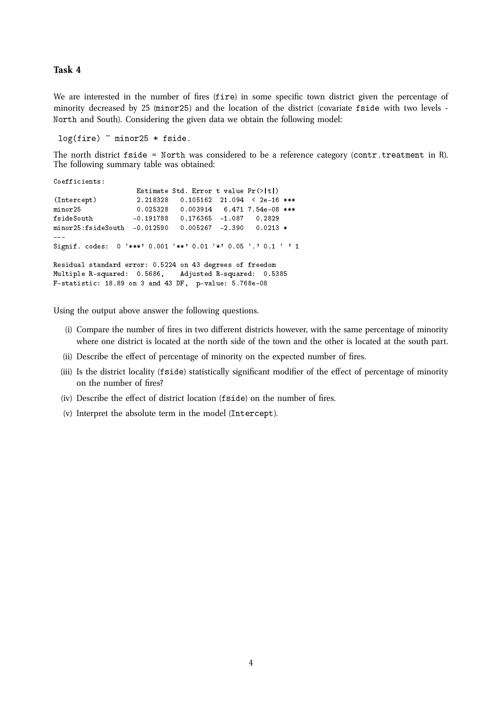We are interested in the number of fires (fire) in some specific town district given the percentage of minority decreased by 25 (minor25) and the location of the district (covariate fside with two levels - North and South). Considering the given data we obtain the following model:

log(fire) ~ minor25 \* fside.

The north district fside = North was considered to be a reference category (contr.treatment in R). The following summary table was obtained:

```
Coefficients:
                  Estimate Std. Error t value Pr(>|t|)(Intercept) 2.218328 0.105162 21.094 < 2e-16 ***
minor25 0.025328 0.003914 6.471 7.54e-08 ***
fsideSouth -0.191788 0.176365 -1.087 0.2829
minor25:fsideSouth -0.012590 0.005267 -2.390 0.0213 *
---
Signif. codes: 0 '***' 0.001 '**' 0.01 '*' 0.05 '.' 0.1 ' ' 1
Residual standard error: 0.5224 on 43 degrees of freedom
Multiple R-squared: 0.5686, Adjusted R-squared: 0.5385
F-statistic: 18.89 on 3 and 43 DF, p-value: 5.768e-08
```
Using the output above answer the following questions.

- (i) Compare the number of fires in two different districts however, with the same percentage of minority where one district is located at the north side of the town and the other is located at the south part.
- (ii) Describe the effect of percentage of minority on the expected number of fires.
- (iii) Is the district locality (f side) statistically significant modifier of the effect of percentage of minority on the number of fires?
- (iv) Describe the effect of district location (f side) on the number of fires.
- (v) Interpret the absolute term in the model (Intercept).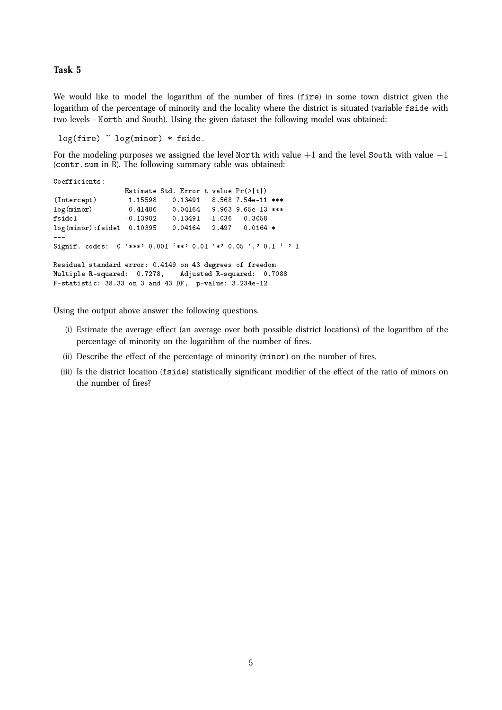We would like to model the logarithm of the number of fires (fire) in some town district given the logarithm of the percentage of minority and the locality where the district is situated (variable fside with two levels - North and South). Using the given dataset the following model was obtained:

```
log(fire) \sim log(minor) * fside.
```
For the modeling purposes we assigned the level North with value  $+1$  and the level South with value  $-1$ (contr. sum in  $\tilde{R}$ ). The following summary table was obtained:

```
Coefficients:
                    Estimate Std. Error t value Pr(>\vert t \vert)(Intercept) 1.15598 0.13491 8.568 7.54e-11 ***<br>log(minor) 0.41486 0.04164 9.963 9.65e-13 ***
log(minor) 0.41486 0.04164 9.963 9.65e-13 ***<br>
fside1 -0.13982 0.13491 -1.036 0.3058
                                  0.13491 -1.036<br>0.04164 2.497log(minor):fside1 0.10395 0.04164 2.497 0.0164 *
---
Signif. codes: 0 '***' 0.001 '**' 0.01 '*' 0.05 '.' 0.1 ' ' 1
Residual standard error: 0.4149 on 43 degrees of freedom
Multiple R-squared: 0.7278, Adjusted R-squared: 0.7088
F-statistic: 38.33 on 3 and 43 DF, p-value: 3.234e-12
```
Using the output above answer the following questions.

- (i) Estimate the average effect (an average over both possible district locations) of the logarithm of the percentage of minority on the logarithm of the number of fires.
- (ii) Describe the effect of the percentage of minority (minor) on the number of fires.
- (iii) Is the district location (fside) statistically significant modifier of the effect of the ratio of minors on the number of fires?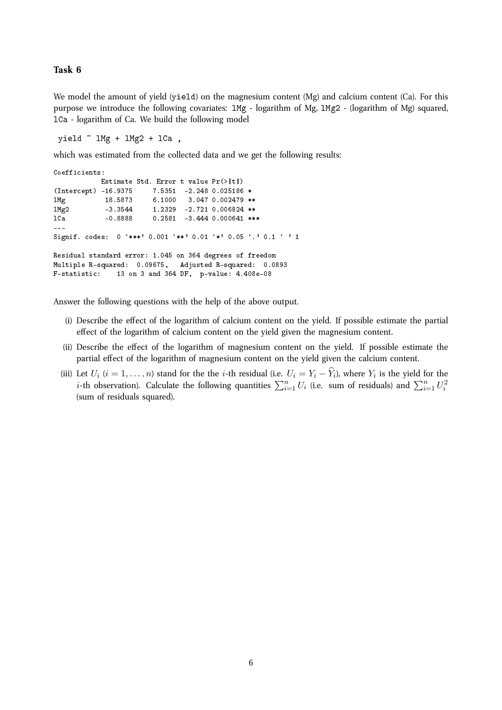We model the amount of yield (yield) on the magnesium content (Mg) and calcium content (Ca). For this purpose we introduce the following covariates: 1Mg - logarithm of Mg, 1Mg2 - (logarithm of Mg) squared, lCa - logarithm of Ca. We build the following model

yield  $\tilde{ }$  1Mg + 1Mg2 + 1Ca,

which was estimated from the collected data and we get the following results:

```
Coefficients:
           Estimate Std. Error t value Pr(>|t|)(Intercept) -16.9375 7.5351 -2.248 0.025186 *
lMg 18.5873 6.1000 3.047 0.002479 **
1Mg2 -3.3544 1.2329 -2.721 0.006824 **<br>1Ca - 10.8888 0.2581 -3.444 0.000641 **
                         0.2581 -3.444 0.000641***
---
Signif. codes: 0 '***' 0.001 '**' 0.01 '*' 0.05 '.' 0.1 ' ' 1
Residual standard error: 1.045 on 364 degrees of freedom
Multiple R-squared: 0.09675, Adjusted R-squared: 0.0893
F-statistic: 13 on 3 and 364 DF, p-value: 4.408e-08
```
Answer the following questions with the help of the above output.

- (i) Describe the effect of the logarithm of calcium content on the yield. If possible estimate the partial effect of the logarithm of calcium content on the yield given the magnesium content.
- (ii) Describe the effect of the logarithm of magnesium content on the yield. If possible estimate the partial effect of the logarithm of magnesium content on the yield given the calcium content.
- (iii) Let  $U_i$   $(i = 1, \ldots, n)$  stand for the the *i*-th residual (i.e.  $U_i = Y_i Y_i$ ), where  $Y_i$  is the yield for the *i*-th observation). Calculate the following quantities  $\sum_{i=1}^{n} U_i$  (i.e. sum of residuals) and  $\sum_{i=1}^{n} U_i^2$ (sum of residuals squared).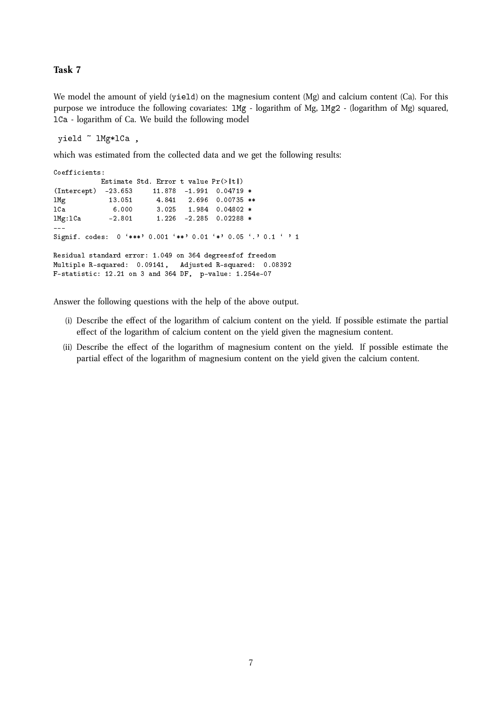We model the amount of yield (yield) on the magnesium content (Mg) and calcium content (Ca). For this purpose we introduce the following covariates: 1Mg - logarithm of Mg, 1Mg2 - (logarithm of Mg) squared, lCa - logarithm of Ca. We build the following model

yield ~ lMg\*lCa ,

which was estimated from the collected data and we get the following results:

```
Coefficients:
          Estimate Std. Error t value Pr(>|t|)
(Intercept) -23.653 11.878 -1.991 0.04719 *
lMg 13.051 4.841 2.696 0.00735 **
lCa 6.000 3.025 1.984 0.04802 *
lMg:lCa -2.801 1.226 -2.285 0.02288 *
---
Signif. codes: 0 '***' 0.001 '**' 0.01 '*' 0.05 '.' 0.1 ' ' 1
Residual standard error: 1.049 on 364 degreesfof freedom
Multiple R-squared: 0.09141, Adjusted R-squared: 0.08392
F-statistic: 12.21 on 3 and 364 DF, p-value: 1.254e-07
```
Answer the following questions with the help of the above output.

- (i) Describe the effect of the logarithm of calcium content on the yield. If possible estimate the partial effect of the logarithm of calcium content on the yield given the magnesium content.
- (ii) Describe the effect of the logarithm of magnesium content on the yield. If possible estimate the partial effect of the logarithm of magnesium content on the yield given the calcium content.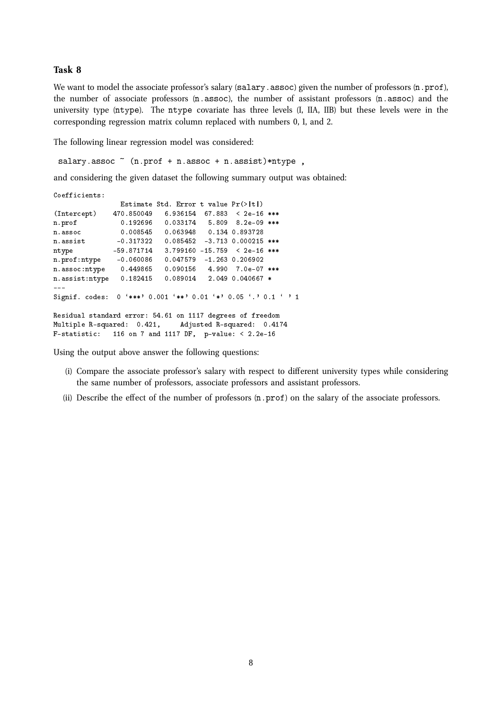We want to model the associate professor's salary (salary.assoc) given the number of professors (n.prof), the number of associate professors  $(n, \text{assoc})$ , the number of assistant professors  $(n, \text{assoc})$  and the university type (ntype). The ntype covariate has three levels (I, IIA, IIB) but these levels were in the corresponding regression matrix column replaced with numbers 0, 1, and 2.

The following linear regression model was considered:

salary.assoc  $\tilde{ }$  (n.prof + n.assoc + n.assist)\*ntype,

and considering the given dataset the following summary output was obtained:

```
Coefficients:
               Estimate Std. Error t value Pr(>|t|)
(Intercept) 470.850049 6.936154 67.883 < 2e-16 ***
n.prof 0.192696 0.033174 5.809 8.2e-09 ***
n.assoc 0.008545 0.063948 0.134 0.893728
n.assist -0.317322 0.085452 -3.713 0.000215 ***
ntype -59.871714 3.799160 -15.759 < 2e-16 ***
n.prof:ntype -0.060086 0.047579 -1.263 0.206902
n.assoc:ntype 0.449865 0.090156 4.990 7.0e-07 ***
n.assist:ntype 0.182415 0.089014 2.049 0.040667 *
- - -Signif. codes: 0 '***' 0.001 '**' 0.01 '*' 0.05 '.' 0.1 ' ' 1
Residual standard error: 54.61 on 1117 degrees of freedom
Multiple R-squared: 0.421, Adjusted R-squared: 0.4174
F-statistic: 116 on 7 and 1117 DF, p-value: < 2.2e-16
```
Using the output above answer the following questions:

- (i) Compare the associate professor's salary with respect to different university types while considering the same number of professors, associate professors and assistant professors.
- (ii) Describe the effect of the number of professors  $(n, \text{prof})$  on the salary of the associate professors.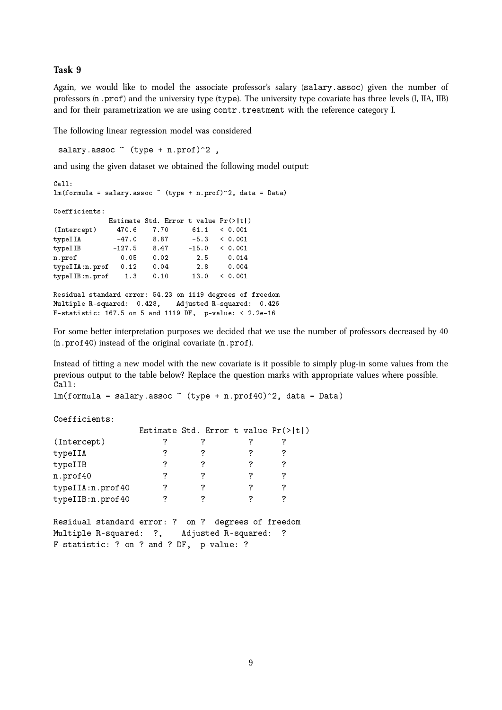Again, we would like to model the associate professor's salary (salary.assoc) given the number of professors  $(n, prof)$  and the university type  $(type)$ . The university type covariate has three levels  $(I, IIA, IIB)$ and for their parametrization we are using contr.treatment with the reference category I.

The following linear regression model was considered

salary.assoc  $\tilde{ }$  (type + n.prof) $\tilde{ }$ 2,

and using the given dataset we obtained the following model output:

```
C<sub>a</sub>11:lm(formula = salary. assoc^*(type + n.prof)^2, data = Data)Coefficients:
            Estimate Std. Error t value Pr(>|t|)<br>470.6 7.70 61.1 < 0.001
(Intercept) 470.6 7.70 61.1 < 0.001
typeIIA -47.0 8.87 -5.3 < 0.001
typeIIB -127.5 8.47 -15.0 < 0.001
n.prof 0.05 0.02 2.5 0.014
typeIIA:n.prof 0.12 0.04 2.8 0.004
typeIIB:n.prof 1.3 0.10 13.0 < 0.001
Residual standard error: 54.23 on 1119 degrees of freedom
Multiple R-squared: 0.428, Adjusted R-squared: 0.426
F-statistic: 167.5 on 5 and 1119 DF, p-value: < 2.2e-16
```
For some better interpretation purposes we decided that we use the number of professors decreased by 40 (n.prof40) instead of the original covariate (n.prof).

Instead of fitting a new model with the new covariate is it possible to simply plug-in some values from the previous output to the table below? Replace the question marks with appropriate values where possible. Call:

 $lm(formula = salary.$ assoc  $\tilde{h}(t)$  (type + n.prof40) $\hat{h}(2)$ , data = Data)

Coefficients:

|                                                    |   | Estimate Std. Error t value $Pr(>\vert t \vert)$ |   |   |
|----------------------------------------------------|---|--------------------------------------------------|---|---|
| (Intercept)                                        | ? |                                                  |   |   |
| typeIIA                                            |   |                                                  |   |   |
| typeIIB                                            | ? |                                                  | ? | ? |
| n.prof40                                           | 7 | 7                                                | 7 | 7 |
| typeIIA:n.prof40                                   | ? | 7                                                | 7 | ? |
| typeIIB:n.prof40                                   | 7 | 7                                                | 7 | 7 |
| Residual standard error: ? on ? degrees of freedom |   |                                                  |   |   |
| Multiple R-squared: ?, Adjusted R-squared:         |   |                                                  |   |   |

F-statistic: ? on ? and ? DF, p-value: ?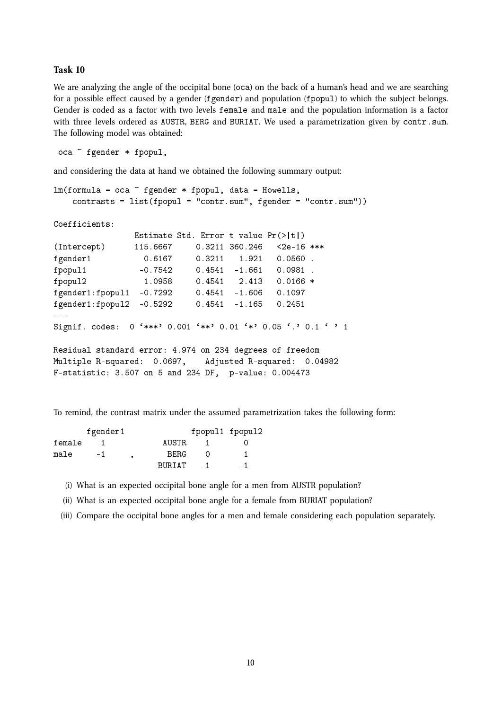We are analyzing the angle of the occipital bone (oca) on the back of a human's head and we are searching for a possible effect caused by a gender (fgender) and population (fpopul) to which the subject belongs. Gender is coded as a factor with two levels female and male and the population information is a factor with three levels ordered as AUSTR, BERG and BURIAT. We used a parametrization given by contr.sum. The following model was obtained:

oca ~ fgender \* fpopul,

and considering the data at hand we obtained the following summary output:

```
lm(formula = oca "fgender * fpopul, data = Howells,contrasts = list(fpopul = "contr.sum", fgender = "contr.sum"))
Coefficients:
               Estimate Std. Error t value Pr(>|t|)
(Intercept) 115.6667 0.3211 360.246 <2e-16 ***
fgender1 0.6167 0.3211 1.921 0.0560.
fpopul1 -0.7542 0.4541 -1.661 0.0981 .
fpopul2 1.0958 0.4541 2.413 0.0166 *
fgender1:fpopul1 -0.7292 0.4541 -1.606 0.1097
fgender1:fpopul2 -0.5292 0.4541 -1.165 0.2451
---
Signif. codes: 0 '***' 0.001 '**' 0.01 '*' 0.05 '.' 0.1 ' ' 1
Residual standard error: 4.974 on 234 degrees of freedom
Multiple R-squared: 0.0697, Adjusted R-squared: 0.04982
F-statistic: 3.507 on 5 and 234 DF, p-value: 0.004473
```
To remind, the contrast matrix under the assumed parametrization takes the following form:

|        | fgender1 |             | fpopul1 fpopul2 |      |
|--------|----------|-------------|-----------------|------|
| female |          | AUSTR.      |                 |      |
| male   | $-1$     | <b>BFRG</b> |                 |      |
|        |          | BURTAT      | $-1$            | $-1$ |

(i) What is an expected occipital bone angle for a men from AUSTR population?

(ii) What is an expected occipital bone angle for a female from BURIAT population?

(iii) Compare the occipital bone angles for a men and female considering each population separately.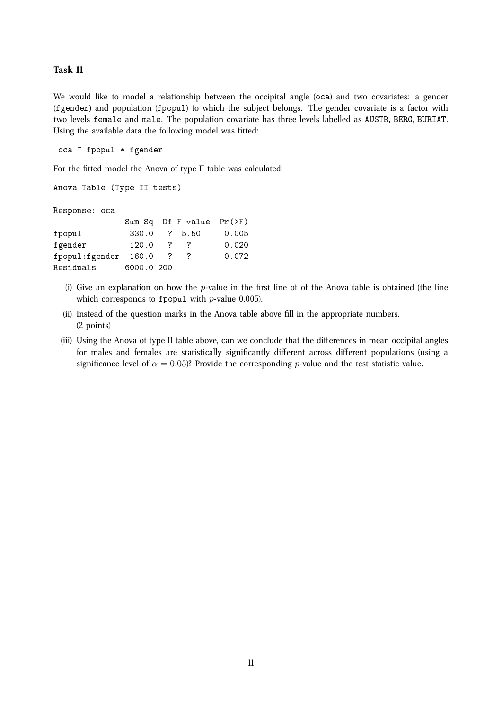We would like to model a relationship between the occipital angle (oca) and two covariates: a gender (fgender) and population (fpopul) to which the subject belongs. The gender covariate is a factor with two levels female and male. The population covariate has three levels labelled as AUSTR, BERG, BURIAT. Using the available data the following model was fitted:

oca ~ fpopul \* fgender

For the fitted model the Anova of type II table was calculated:

```
Anova Table (Type II tests)
Response: oca
               Sum Sq Df F value Pr(>F)
```

| fpopul               | 330.0      |              | ? 5.50   | 0.005 |
|----------------------|------------|--------------|----------|-------|
| fgender              | 120.0      | -7           | $\sim$ 7 | 0.020 |
| fpopul:fgender 160.0 |            | $\mathbf{Z}$ |          | 0.072 |
| Residuals            | 6000.0 200 |              |          |       |

- (i) Give an explanation on how the  $p$ -value in the first line of of the Anova table is obtained (the line which corresponds to fpopul with  $p$ -value 0.005).
- (ii) Instead of the question marks in the Anova table above fill in the appropriate numbers. (2 points)
- (iii) Using the Anova of type II table above, can we conclude that the differences in mean occipital angles for males and females are statistically significantly different across different populations (using a significance level of  $\alpha = 0.05$ ? Provide the corresponding p-value and the test statistic value.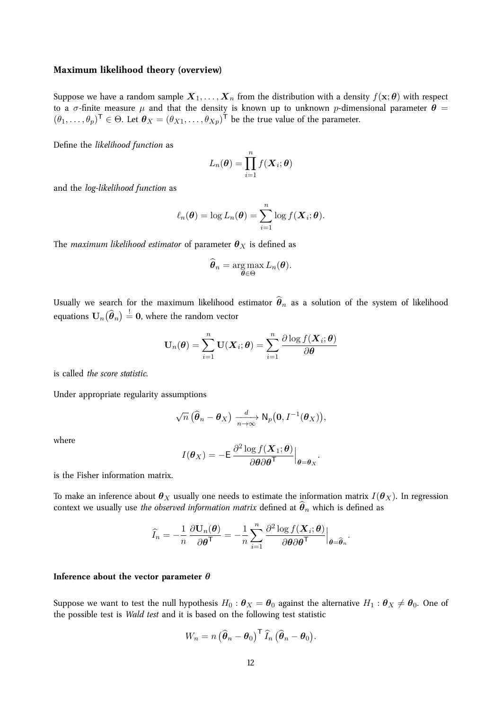#### **Maximum likelihood theory (overview)**

Suppose we have a random sample  $X_1, \ldots, X_n$  from the distribution with a density  $f(\mathbf{x}; \theta)$  with respect to a  $\sigma$ -finite measure  $\mu$  and that the density is known up to unknown p-dimensional parameter  $\theta$  =  $(\theta_1,\ldots,\theta_p)^\mathsf{T} \in \Theta$ . Let  $\boldsymbol{\theta}_X = (\theta_{X1},\ldots,\theta_{Xp})^\mathsf{T}$  be the true value of the parameter.

Define the *likelihood function* as

$$
L_n(\boldsymbol{\theta}) = \prod_{i=1}^n f(\boldsymbol{X}_i; \boldsymbol{\theta})
$$

and the *log-likelihood function* as

$$
\ell_n(\boldsymbol{\theta}) = \log L_n(\boldsymbol{\theta}) = \sum_{i=1}^n \log f(\boldsymbol{X}_i; \boldsymbol{\theta}).
$$

The *maximum likelihood estimator* of parameter  $\theta_X$  is defined as

$$
\widehat{\boldsymbol{\theta}}_n = \argmax_{\boldsymbol{\theta} \in \Theta} L_n(\boldsymbol{\theta}).
$$

Usually we search for the maximum likelihood estimator  $\hat{\theta}_n$  as a solution of the system of likelihood equations  $\mathbf{U}_n(\widehat{\boldsymbol{\theta}}_n) \overset{!}{=} \mathbf{0}$ , where the random vector

$$
\mathbf{U}_n(\boldsymbol{\theta}) = \sum_{i=1}^n \mathbf{U}(\boldsymbol{X}_i; \boldsymbol{\theta}) = \sum_{i=1}^n \frac{\partial \log f(\boldsymbol{X}_i; \boldsymbol{\theta})}{\partial \boldsymbol{\theta}}
$$

is called *the score statistic*.

Under appropriate regularity assumptions

$$
\sqrt{n}\left(\widehat{\boldsymbol{\theta}}_n-\boldsymbol{\theta}_X\right)\xrightarrow[n\to\infty]{d}\mathsf{N}_p\big(\mathbf{0},I^{-1}(\boldsymbol{\theta}_X)\big),
$$

where

$$
I(\boldsymbol{\theta}_X) = -\mathsf{E} \left. \frac{\partial^2 \log f(\boldsymbol{X}_1; \boldsymbol{\theta})}{\partial \boldsymbol{\theta} \partial \boldsymbol{\theta}^\mathsf{T}} \right|_{\boldsymbol{\theta} = \boldsymbol{\theta}_X}
$$

.

is the Fisher information matrix.

To make an inference about  $\theta_X$  usually one needs to estimate the information matrix  $I(\theta_X)$ . In regression context we usually use *the observed information matrix* defined at  $\hat{\theta}_n$  which is defined as

$$
\widehat{I}_n = -\frac{1}{n} \frac{\partial \mathbf{U}_n(\boldsymbol{\theta})}{\partial \boldsymbol{\theta}^\mathsf{T}} = -\frac{1}{n} \sum_{i=1}^n \frac{\partial^2 \log f(\boldsymbol{X}_i; \boldsymbol{\theta})}{\partial \boldsymbol{\theta} \partial \boldsymbol{\theta}^\mathsf{T}} \Big|_{\boldsymbol{\theta} = \widehat{\boldsymbol{\theta}}_n}.
$$

#### **Inference about the vector parameter** θ

Suppose we want to test the null hypothesis  $H_0$ :  $\theta_X = \theta_0$  against the alternative  $H_1$ :  $\theta_X \neq \theta_0$ . One of the possible test is *Wald test* and it is based on the following test statistic

$$
W_n = n \left( \widehat{\boldsymbol{\theta}}_n - \boldsymbol{\theta}_0 \right)^{\mathsf{T}} \widehat{I}_n \left( \widehat{\boldsymbol{\theta}}_n - \boldsymbol{\theta}_0 \right).
$$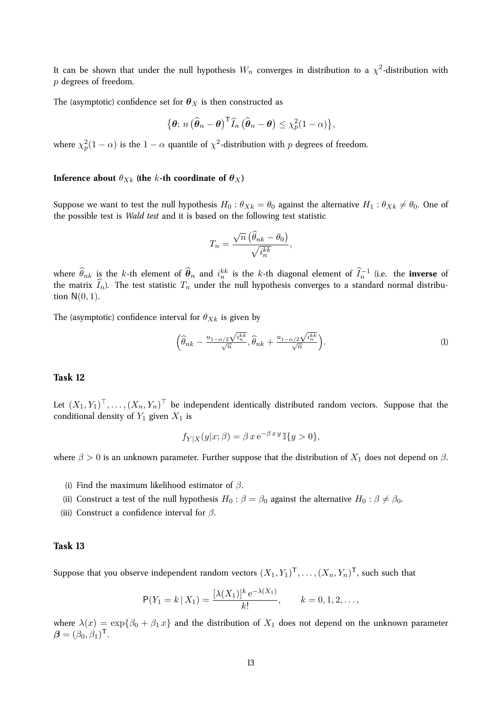It can be shown that under the null hypothesis  $W_n$  converges in distribution to a  $\chi^2$ -distribution with p degrees of freedom.

The (asymptotic) confidence set for  $\boldsymbol{\theta}_X$  is then constructed as

$$
\{\boldsymbol{\theta};\,n\left(\widehat{\boldsymbol{\theta}}_n-\boldsymbol{\theta}\right)^{\mathsf{T}}\widehat{I}_n\left(\widehat{\boldsymbol{\theta}}_n-\boldsymbol{\theta}\right)\leq \chi_p^2(1-\alpha)\},\
$$

where  $\chi^2_p(1-\alpha)$  is the  $1-\alpha$  quantile of  $\chi^2$ -distribution with  $p$  degrees of freedom.

#### **Inference about**  $\theta_{Xk}$  (the k-th coordinate of  $\theta_X$ )

Suppose we want to test the null hypothesis  $H_0$ :  $\theta_{Xk} = \theta_0$  against the alternative  $H_1$ :  $\theta_{Xk} \neq \theta_0$ . One of the possible test is *Wald test* and it is based on the following test statistic

$$
T_n = \frac{\sqrt{n} \left( \widehat{\theta}_{nk} - \theta_0 \right)}{\sqrt{i_n^{kk}}},
$$

where  $\widehat{\theta}_{nk}$  is the k-th element of  $\widehat{\theta}_n$  and  $i_n^{kk}$  is the k-th diagonal element of  $\widehat{I}_n^{-1}$  (i.e. the **inverse** of the matrix  $\widehat{I}_n$ ). The test statistic  $T_n$  under the null hypothesis converges to a standard normal distribution  $N(0, 1)$ .

The (asymptotic) confidence interval for  $\theta_{Xk}$  is given by

$$
\left(\widehat{\theta}_{nk} - \frac{u_{1-\alpha/2}\sqrt{i_n^{kk}}}{\sqrt{n}}, \widehat{\theta}_{nk} + \frac{u_{1-\alpha/2}\sqrt{i_n^{kk}}}{\sqrt{n}}\right).
$$
 (1)

#### **Task 12**

Let  $(X_1,Y_1)^{\top},\ldots,(X_n,Y_n)^{\top}$  be independent identically distributed random vectors. Suppose that the conditional density of  $Y_1$  given  $X_1$  is

$$
f_{Y|X}(y|x;\beta) = \beta x e^{-\beta xy} \mathbb{I}\{y>0\},\
$$

where  $\beta > 0$  is an unknown parameter. Further suppose that the distribution of  $X_1$  does not depend on  $\beta$ .

- (i) Find the maximum likelihood estimator of  $\beta$ .
- (ii) Construct a test of the null hypothesis  $H_0$  :  $\beta = \beta_0$  against the alternative  $H_0$  :  $\beta \neq \beta_0$ .
- (iii) Construct a confidence interval for  $\beta$ .

#### **Task 13**

Suppose that you observe independent random vectors  $(X_1,Y_1)^{\mathsf{T}},\ldots,(X_n,Y_n)^{\mathsf{T}}$ , such such that

$$
P(Y_1 = k | X_1) = \frac{[\lambda(X_1)]^k e^{-\lambda(X_1)}}{k!}, \qquad k = 0, 1, 2, \dots,
$$

where  $\lambda(x) = \exp{\{\beta_0 + \beta_1 x\}}$  and the distribution of  $X_1$  does not depend on the unknown parameter  $\boldsymbol{\beta} = (\beta_0, \beta_1)^{\sf T}.$